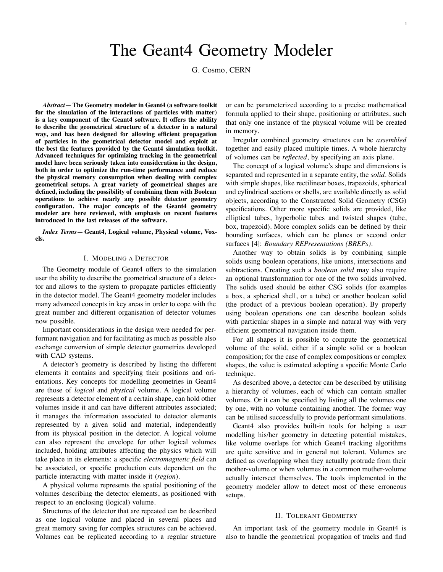# The Geant4 Geometry Modeler

G. Cosmo, CERN

*Abstract***— The Geometry modeler in Geant4 (a software toolkit for the simulation of the interactions of particles with matter) is a key component of the Geant4 software. It offers the ability to describe the geometrical structure of a detector in a natural way, and has been designed for allowing efficient propagation of particles in the geometrical detector model and exploit at the best the features provided by the Geant4 simulation toolkit. Advanced techniques for optimizing tracking in the geometrical model have been seriously taken into consideration in the design, both in order to optimize the run-time performance and reduce the physical memory consumption when dealing with complex geometrical setups. A great variety of geometrical shapes are defined, including the possibility of combining them with Boolean operations to achieve nearly any possible detector geometry configuration. The major concepts of the Geant4 geometry modeler are here reviewed, with emphasis on recent features introduced in the last releases of the software.**

*Index Terms***— Geant4, Logical volume, Physical volume, Voxels.**

# I. MODELING A DETECTOR

The Geometry module of Geant4 offers to the simulation user the ability to describe the geometrical structure of a detector and allows to the system to propagate particles efficiently in the detector model. The Geant4 geometry modeler includes many advanced concepts in key areas in order to cope with the great number and different organisation of detector volumes now possible.

Important considerations in the design were needed for performant navigation and for facilitating as much as possible also exchange conversion of simple detector geometries developed with CAD systems.

A detector's geometry is described by listing the different elements it contains and specifying their positions and orientations. Key concepts for modelling geometries in Geant4 are those of *logical* and *physical* volume. A logical volume represents a detector element of a certain shape, can hold other volumes inside it and can have different attributes associated; it manages the information associated to detector elements represented by a given solid and material, independently from its physical position in the detector. A logical volume can also represent the envelope for other logical volumes included, holding attributes affecting the physics which will take place in its elements: a specific *electromagnetic field* can be associated, or specific production cuts dependent on the particle interacting with matter inside it (*region*).

A physical volume represents the spatial positioning of the volumes describing the detector elements, as positioned with respect to an enclosing (logical) volume.

Structures of the detector that are repeated can be described as one logical volume and placed in several places and great memory saving for complex structures can be achieved. Volumes can be replicated according to a regular structure or can be parameterized according to a precise mathematical formula applied to their shape, positioning or attributes, such that only one instance of the physical volume will be created in memory.

Irregular combined geometry structures can be *assembled* together and easily placed multiple times. A whole hierarchy of volumes can be *reflected*, by specifying an axis plane.

The concept of a logical volume's shape and dimensions is separated and represented in a separate entity, the *solid*. Solids with simple shapes, like rectilinear boxes, trapezoids, spherical and cylindrical sections or shells, are available directly as solid objects, according to the Constructed Solid Geometry (CSG) specifications. Other more specific solids are provided, like elliptical tubes, hyperbolic tubes and twisted shapes (tube, box, trapezoid). More complex solids can be defined by their bounding surfaces, which can be planes or second order surfaces [4]: *Boundary REPresentations (BREPs)*.

Another way to obtain solids is by combining simple solids using boolean operations, like unions, intersections and subtractions. Creating such a *boolean solid* may also require an optional transformation for one of the two solids involved. The solids used should be either CSG solids (for examples a box, a spherical shell, or a tube) or another boolean solid (the product of a previous boolean operation). By properly using boolean operations one can describe boolean solids with particular shapes in a simple and natural way with very efficient geometrical navigation inside them.

For all shapes it is possible to compute the geometrical volume of the solid, either if a simple solid or a boolean composition; for the case of complex compositions or complex shapes, the value is estimated adopting a specific Monte Carlo technique.

As described above, a detector can be described by utilising a hierarchy of volumes, each of which can contain smaller volumes. Or it can be specified by listing all the volumes one by one, with no volume containing another. The former way can be utilised successfully to provide performant simulations.

Geant4 also provides built-in tools for helping a user modelling his/her geometry in detecting potential mistakes, like volume overlaps for which Geant4 tracking algorithms are quite sensitive and in general not tolerant. Volumes are defined as overlapping when they actually protrude from their mother-volume or when volumes in a common mother-volume actually intersect themselves. The tools implemented in the geometry modeler allow to detect most of these erroneous setups.

# II. TOLERANT GEOMETRY

An important task of the geometry module in Geant4 is also to handle the geometrical propagation of tracks and find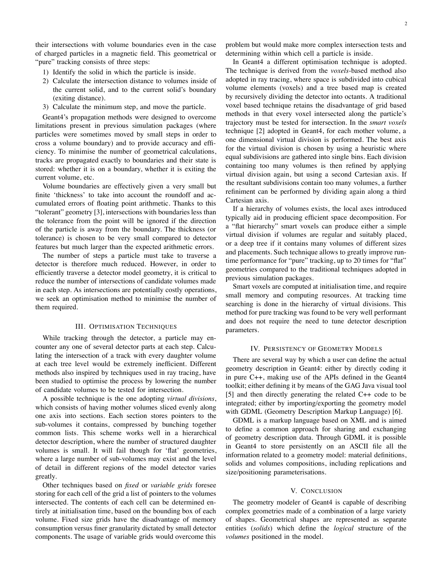their intersections with volume boundaries even in the case of charged particles in a magnetic field. This geometrical or "pure" tracking consists of three steps:

- 1) Identify the solid in which the particle is inside.
- 2) Calculate the intersection distance to volumes inside of the current solid, and to the current solid's boundary (exiting distance).
- 3) Calculate the minimum step, and move the particle.

Geant4's propagation methods were designed to overcome limitations present in previous simulation packages (where particles were sometimes moved by small steps in order to cross a volume boundary) and to provide accuracy and efficiency. To minimise the number of geometrical calculations, tracks are propagated exactly to boundaries and their state is stored: whether it is on a boundary, whether it is exiting the current volume, etc.

Volume boundaries are effectively given a very small but finite 'thickness' to take into account the roundoff and accumulated errors of floating point arithmetic. Thanks to this "tolerant" geometry [3], intersections with boundaries less than the tolerance from the point will be ignored if the direction of the particle is away from the boundary. The thickness (or tolerance) is chosen to be very small compared to detector features but much larger than the expected arithmetic errors.

The number of steps a particle must take to traverse a detector is therefore much reduced. However, in order to efficiently traverse a detector model geometry, it is critical to reduce the number of intersections of candidate volumes made in each step. As intersections are potentially costly operations, we seek an optimisation method to minimise the number of them required.

# III. OPTIMISATION TECHNIQUES

While tracking through the detector, a particle may encounter any one of several detector parts at each step. Calculating the intersection of a track with every daughter volume at each tree level would be extremely inefficient. Different methods also inspired by techniques used in ray tracing, have been studied to optimise the process by lowering the number of candidate volumes to be tested for intersection.

A possible technique is the one adopting *virtual divisions*, which consists of having mother volumes sliced evenly along one axis into sections. Each section stores pointers to the sub-volumes it contains, compressed by bunching together common lists. This scheme works well in a hierarchical detector description, where the number of structured daughter volumes is small. It will fail though for 'flat' geometries, where a large number of sub-volumes may exist and the level of detail in different regions of the model detector varies greatly.

Other techniques based on *fixed* or *variable grids* foresee storing for each cell of the grid a list of pointers to the volumes intersected. The contents of each cell can be determined entirely at initialisation time, based on the bounding box of each volume. Fixed size grids have the disadvantage of memory consumption versus finer granularity dictated by small detector components. The usage of variable grids would overcome this

problem but would make more complex intersection tests and determining within which cell a particle is inside.

In Geant4 a different optimisation technique is adopted. The technique is derived from the *voxels*-based method also adopted in ray tracing, where space is subdivided into cubical volume elements (voxels) and a tree based map is created by recursively dividing the detector into octants. A traditional voxel based technique retains the disadvantage of grid based methods in that every voxel intersected along the particle's trajectory must be tested for intersection. In the *smart voxels* technique [2] adopted in Geant4, for each mother volume, a one dimensional virtual division is performed. The best axis for the virtual division is chosen by using a heuristic where equal subdivisions are gathered into single bins. Each division containing too many volumes is then refined by applying virtual division again, but using a second Cartesian axis. If the resultant subdivisions contain too many volumes, a further refiniment can be performed by dividing again along a third Cartesian axis.

If a hierarchy of volumes exists, the local axes introduced typically aid in producing efficient space decomposition. For a "flat hierarchy" smart voxels can produce either a simple virtual division if volumes are regular and suitably placed, or a deep tree if it contains many volumes of different sizes and placements. Such technique allows to greatly improve runtime performance for "pure" tracking, up to 20 times for "flat" geometries compared to the traditional techniques adopted in previous simulation packages.

Smart voxels are computed at initialisation time, and require small memory and computing resources. At tracking time searching is done in the hierarchy of virtual divisions. This method for pure tracking was found to be very well performant and does not require the need to tune detector description parameters.

### IV. PERSISTENCY OF GEOMETRY MODELS

There are several way by which a user can define the actual geometry description in Geant4: either by directly coding it in pure C++, making use of the APIs defined in the Geant4 toolkit; either defining it by means of the GAG Java visual tool [5] and then directly generating the related C++ code to be integrated; either by importing/exporting the geometry model with GDML (Geometry Description Markup Language) [6].

GDML is a markup language based on XML and is aimed to define a common approach for sharing and exchanging of geometry description data. Through GDML it is possible in Geant4 to store persistently on an ASCII file all the information related to a geometry model: material definitions, solids and volumes compositions, including replications and size/positioning parameterisations.

#### V. CONCLUSION

The geometry modeler of Geant4 is capable of describing complex geometries made of a combination of a large variety of shapes. Geometrical shapes are represented as separate entities (*solids*) which define the *logical* structure of the *volumes* positioned in the model.